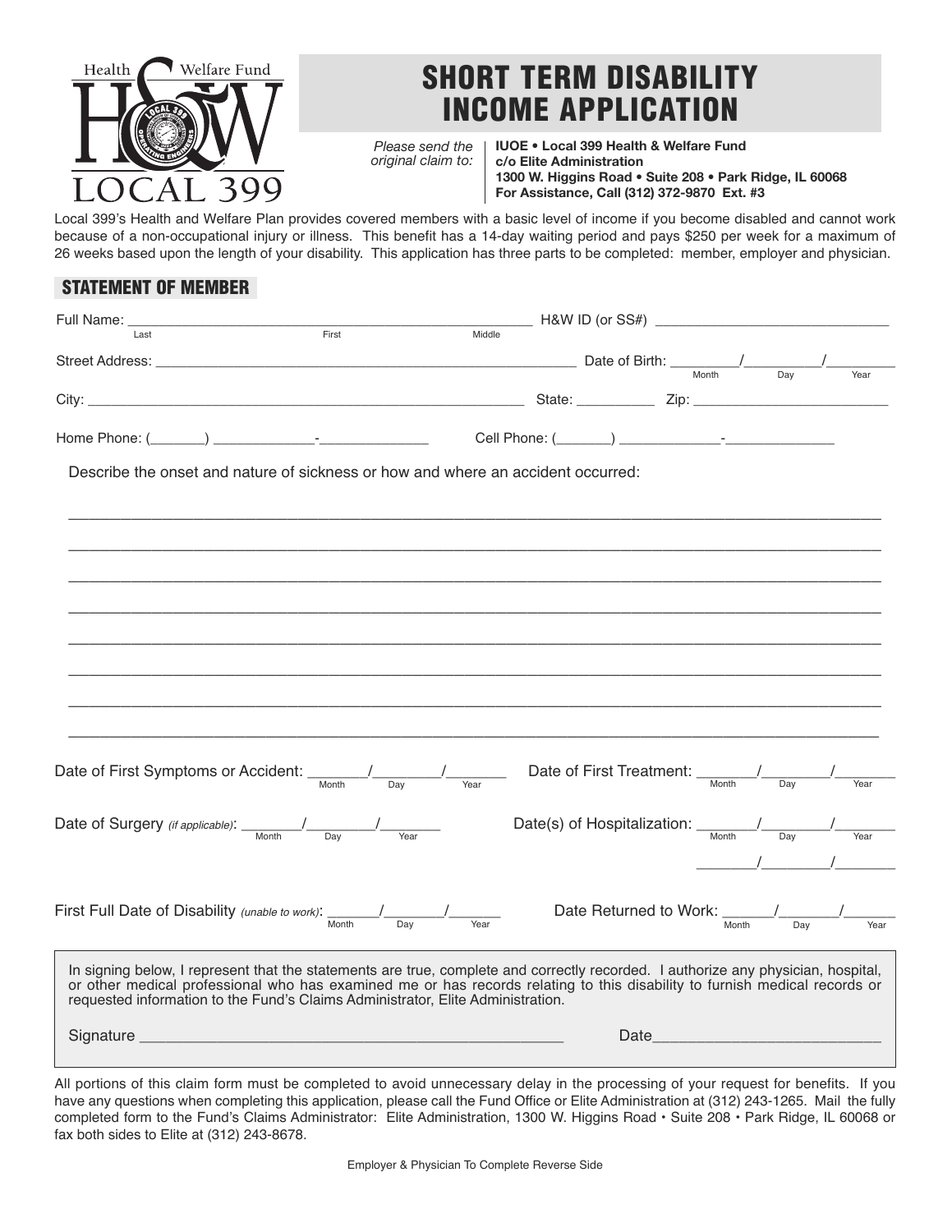

## **SHORT TERM DISABILITY INCOME APPLICATION**

*Please send the original claim to:*

**IUOE • Local 399 Health & Welfare Fund c/o Elite Administration 1300 W. Higgins Road • Suite 208 • Park Ridge, IL 60068 For Assistance, Call (312) 372-9870 Ext. #3**

Local 399's Health and Welfare Plan provides covered members with a basic level of income if you become disabled and cannot work because of a non-occupational injury or illness. This benefit has a 14-day waiting period and pays \$250 per week for a maximum of 26 weeks based upon the length of your disability. This application has three parts to be completed: member, employer and physician.

## **STATEMENT OF MEMBER**

| Full Name:                                                                                                                                                                                                                                                                                                                                                                           |                                                                            |        |                   |                                                 |                  |                                                                                                                                                                                                                                                                                                                                                                                                                                 |
|--------------------------------------------------------------------------------------------------------------------------------------------------------------------------------------------------------------------------------------------------------------------------------------------------------------------------------------------------------------------------------------|----------------------------------------------------------------------------|--------|-------------------|-------------------------------------------------|------------------|---------------------------------------------------------------------------------------------------------------------------------------------------------------------------------------------------------------------------------------------------------------------------------------------------------------------------------------------------------------------------------------------------------------------------------|
| First<br>Last                                                                                                                                                                                                                                                                                                                                                                        |                                                                            | Middle |                   |                                                 |                  |                                                                                                                                                                                                                                                                                                                                                                                                                                 |
|                                                                                                                                                                                                                                                                                                                                                                                      |                                                                            |        |                   |                                                 | $\overline{Dav}$ | Year                                                                                                                                                                                                                                                                                                                                                                                                                            |
|                                                                                                                                                                                                                                                                                                                                                                                      |                                                                            |        |                   |                                                 |                  |                                                                                                                                                                                                                                                                                                                                                                                                                                 |
| $\overline{a}$ $\overline{a}$ $\overline{a}$ $\overline{a}$ $\overline{a}$ $\overline{a}$ $\overline{a}$ $\overline{a}$ $\overline{a}$ $\overline{a}$ $\overline{a}$ $\overline{a}$ $\overline{a}$ $\overline{a}$ $\overline{a}$ $\overline{a}$ $\overline{a}$ $\overline{a}$ $\overline{a}$ $\overline{a}$ $\overline{a}$ $\overline{a}$ $\overline{a}$ $\overline{a}$ $\overline{$ |                                                                            |        |                   |                                                 |                  |                                                                                                                                                                                                                                                                                                                                                                                                                                 |
| Home Phone: (                                                                                                                                                                                                                                                                                                                                                                        |                                                                            |        |                   |                                                 |                  |                                                                                                                                                                                                                                                                                                                                                                                                                                 |
| Describe the onset and nature of sickness or how and where an accident occurred:                                                                                                                                                                                                                                                                                                     |                                                                            |        |                   |                                                 |                  |                                                                                                                                                                                                                                                                                                                                                                                                                                 |
|                                                                                                                                                                                                                                                                                                                                                                                      |                                                                            |        |                   |                                                 |                  |                                                                                                                                                                                                                                                                                                                                                                                                                                 |
|                                                                                                                                                                                                                                                                                                                                                                                      |                                                                            |        |                   |                                                 |                  |                                                                                                                                                                                                                                                                                                                                                                                                                                 |
|                                                                                                                                                                                                                                                                                                                                                                                      |                                                                            |        |                   |                                                 |                  |                                                                                                                                                                                                                                                                                                                                                                                                                                 |
|                                                                                                                                                                                                                                                                                                                                                                                      |                                                                            |        |                   |                                                 |                  |                                                                                                                                                                                                                                                                                                                                                                                                                                 |
|                                                                                                                                                                                                                                                                                                                                                                                      |                                                                            |        |                   |                                                 |                  |                                                                                                                                                                                                                                                                                                                                                                                                                                 |
|                                                                                                                                                                                                                                                                                                                                                                                      |                                                                            |        |                   |                                                 |                  |                                                                                                                                                                                                                                                                                                                                                                                                                                 |
|                                                                                                                                                                                                                                                                                                                                                                                      |                                                                            |        |                   |                                                 |                  |                                                                                                                                                                                                                                                                                                                                                                                                                                 |
|                                                                                                                                                                                                                                                                                                                                                                                      |                                                                            |        |                   |                                                 |                  |                                                                                                                                                                                                                                                                                                                                                                                                                                 |
|                                                                                                                                                                                                                                                                                                                                                                                      |                                                                            |        |                   |                                                 |                  |                                                                                                                                                                                                                                                                                                                                                                                                                                 |
|                                                                                                                                                                                                                                                                                                                                                                                      |                                                                            |        |                   |                                                 |                  |                                                                                                                                                                                                                                                                                                                                                                                                                                 |
| Date of First Symptoms or Accident: __                                                                                                                                                                                                                                                                                                                                               |                                                                            |        |                   |                                                 |                  |                                                                                                                                                                                                                                                                                                                                                                                                                                 |
| Month                                                                                                                                                                                                                                                                                                                                                                                | $\overline{Dav}$                                                           | Year   |                   |                                                 |                  | Year                                                                                                                                                                                                                                                                                                                                                                                                                            |
|                                                                                                                                                                                                                                                                                                                                                                                      |                                                                            |        |                   |                                                 |                  |                                                                                                                                                                                                                                                                                                                                                                                                                                 |
| Date of Surgery (if applicable): $\frac{1}{\frac{M_{\text{onth}}}{\frac{M_{\text{orbit}}}{\Delta}}}}$                                                                                                                                                                                                                                                                                |                                                                            |        |                   |                                                 |                  |                                                                                                                                                                                                                                                                                                                                                                                                                                 |
|                                                                                                                                                                                                                                                                                                                                                                                      |                                                                            |        |                   |                                                 |                  | $\frac{1}{\sqrt{1-\frac{1}{2}}}\frac{1}{\sqrt{1-\frac{1}{2}}}\frac{1}{\sqrt{1-\frac{1}{2}}}\frac{1}{\sqrt{1-\frac{1}{2}}}\frac{1}{\sqrt{1-\frac{1}{2}}}\frac{1}{\sqrt{1-\frac{1}{2}}}\frac{1}{\sqrt{1-\frac{1}{2}}}\frac{1}{\sqrt{1-\frac{1}{2}}}\frac{1}{\sqrt{1-\frac{1}{2}}}\frac{1}{\sqrt{1-\frac{1}{2}}}\frac{1}{\sqrt{1-\frac{1}{2}}}\frac{1}{\sqrt{1-\frac{1}{2}}}\frac{1}{\sqrt{1-\frac{1}{2}}}\frac{1}{\sqrt{1-\frac{$ |
|                                                                                                                                                                                                                                                                                                                                                                                      |                                                                            |        |                   |                                                 |                  |                                                                                                                                                                                                                                                                                                                                                                                                                                 |
| First Full Date of Disability (unable to work): Month 10 Day 1                                                                                                                                                                                                                                                                                                                       |                                                                            |        |                   | Date Returned to Work: $\frac{1}{\text{Month}}$ |                  | Year                                                                                                                                                                                                                                                                                                                                                                                                                            |
|                                                                                                                                                                                                                                                                                                                                                                                      |                                                                            |        |                   |                                                 |                  |                                                                                                                                                                                                                                                                                                                                                                                                                                 |
| In signing below, I represent that the statements are true, complete and correctly recorded. I authorize any physician, hospital,<br>or other medical professional who has examined me or has records relating to this disability to furnish medical records or                                                                                                                      |                                                                            |        |                   |                                                 |                  |                                                                                                                                                                                                                                                                                                                                                                                                                                 |
| requested information to the Fund's Claims Administrator, Elite Administration.                                                                                                                                                                                                                                                                                                      |                                                                            |        |                   |                                                 |                  |                                                                                                                                                                                                                                                                                                                                                                                                                                 |
|                                                                                                                                                                                                                                                                                                                                                                                      |                                                                            |        |                   |                                                 |                  |                                                                                                                                                                                                                                                                                                                                                                                                                                 |
|                                                                                                                                                                                                                                                                                                                                                                                      |                                                                            |        |                   |                                                 |                  |                                                                                                                                                                                                                                                                                                                                                                                                                                 |
| $\sim$ $\sim$ $\sim$<br>.                                                                                                                                                                                                                                                                                                                                                            | $\mathbf{r}$ , $\mathbf{r}$ , $\mathbf{r}$ , $\mathbf{r}$<br>$\sim$ $\sim$ |        | $\cdots$ $\cdots$ |                                                 |                  | $\mathbf{r} = \mathbf{r}$ and $\mathbf{r} = \mathbf{r}$ and $\mathbf{r} = \mathbf{r}$                                                                                                                                                                                                                                                                                                                                           |

All portions of this claim form must be completed to avoid unnecessary delay in the processing of your request for benefits. If you have any questions when completing this application, please call the Fund Office or Elite Administration at (312) 243-1265. Mail the fully completed form to the Fund's Claims Administrator: Elite Administration, 1300 W. Higgins Road • Suite 208 • Park Ridge, IL 60068 or fax both sides to Elite at (312) 243-8678.